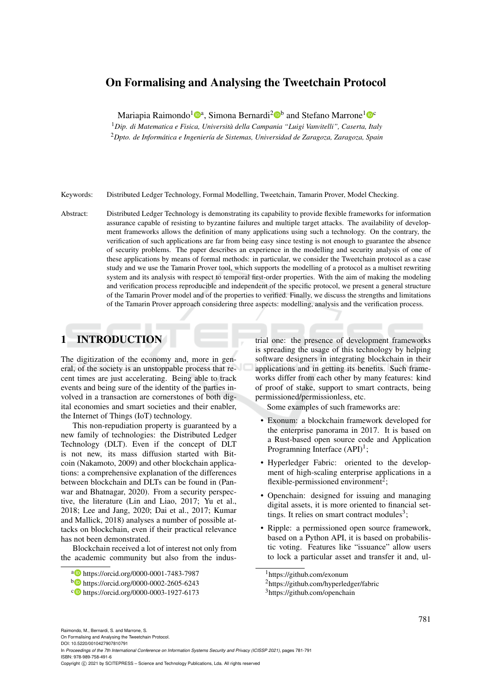# On Formalising and Analysing the Tweetchain Protocol

Mariapia Raimondo<sup>1</sup><sup>®</sup>, Simona Bernardi<sup>2</sup><sup>®</sup> and Stefano Marrone<sup>1</sup><sup>®</sup>

<sup>1</sup>*Dip. di Matematica e Fisica, Universita della Campania "Luigi Vanvitelli", Caserta, Italy `* <sup>2</sup>*Dpto. de Informatica e Ingenier ´ ´ıa de Sistemas, Universidad de Zaragoza, Zaragoza, Spain*

Keywords: Distributed Ledger Technology, Formal Modelling, Tweetchain, Tamarin Prover, Model Checking.

Abstract: Distributed Ledger Technology is demonstrating its capability to provide flexible frameworks for information assurance capable of resisting to byzantine failures and multiple target attacks. The availability of development frameworks allows the definition of many applications using such a technology. On the contrary, the verification of such applications are far from being easy since testing is not enough to guarantee the absence of security problems. The paper describes an experience in the modelling and security analysis of one of these applications by means of formal methods: in particular, we consider the Tweetchain protocol as a case study and we use the Tamarin Prover tool, which supports the modelling of a protocol as a multiset rewriting system and its analysis with respect to temporal first-order properties. With the aim of making the modeling and verification process reproducible and independent of the specific protocol, we present a general structure of the Tamarin Prover model and of the properties to verified. Finally, we discuss the strengths and limitations of the Tamarin Prover approach considering three aspects: modelling, analysis and the verification process.

# 1 INTRODUCTION

The digitization of the economy and, more in general, of the society is an unstoppable process that recent times are just accelerating. Being able to track events and being sure of the identity of the parties involved in a transaction are cornerstones of both digital economies and smart societies and their enabler, the Internet of Things (IoT) technology.

This non-repudiation property is guaranteed by a new family of technologies: the Distributed Ledger Technology (DLT). Even if the concept of DLT is not new, its mass diffusion started with Bitcoin (Nakamoto, 2009) and other blockchain applications: a comprehensive explanation of the differences between blockchain and DLTs can be found in (Panwar and Bhatnagar, 2020). From a security perspective, the literature (Lin and Liao, 2017; Yu et al., 2018; Lee and Jang, 2020; Dai et al., 2017; Kumar and Mallick, 2018) analyses a number of possible attacks on blockchain, even if their practical relevance has not been demonstrated.

Blockchain received a lot of interest not only from the academic community but also from the indus-

trial one: the presence of development frameworks is spreading the usage of this technology by helping software designers in integrating blockchain in their applications and in getting its benefits. Such frameworks differ from each other by many features: kind of proof of stake, support to smart contracts, being permissioned/permissionless, etc.

Some examples of such frameworks are:

- Exonum: a blockchain framework developed for the enterprise panorama in 2017. It is based on a Rust-based open source code and Application Programning Interface  $(API)^1$ ;
- Hyperledger Fabric: oriented to the development of high-scaling enterprise applications in a flexible-permissioned environment<sup>2</sup>;
- Openchain: designed for issuing and managing digital assets, it is more oriented to financial settings. It relies on smart contract modules<sup>3</sup>;
- Ripple: a permissioned open source framework, based on a Python API, it is based on probabilistic voting. Features like "issuance" allow users to lock a particular asset and transfer it and, ul-

<sup>2</sup>https://github.com/hyperledger/fabric

In *Proceedings of the 7th International Conference on Information Systems Security and Privacy (ICISSP 2021)*, pages 781-791 ISBN: 978-989-758-491-6

Copyright © 2021 by SCITEPRESS - Science and Technology Publications, Lda. All rights reserved

<sup>a</sup> https://orcid.org/0000-0001-7483-7987

<sup>b</sup> https://orcid.org/0000-0002-2605-6243

<sup>c</sup> https://orcid.org/0000-0003-1927-6173

<sup>1</sup>https://github.com/exonum

<sup>&</sup>lt;sup>3</sup>https://github.com/openchain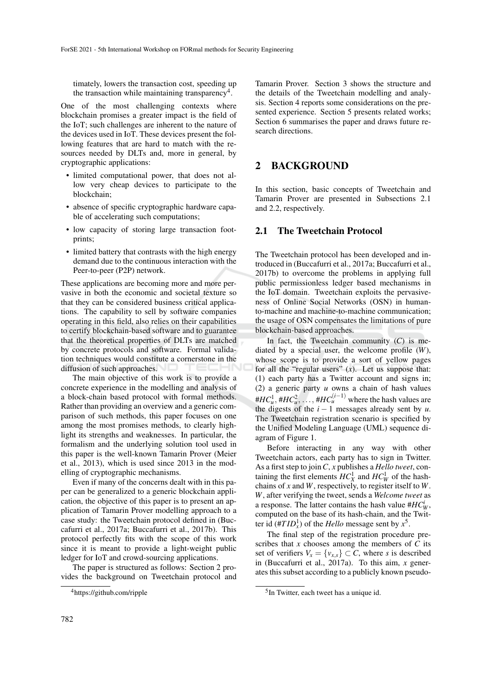timately, lowers the transaction cost, speeding up the transaction while maintaining transparency<sup>4</sup>.

One of the most challenging contexts where blockchain promises a greater impact is the field of the IoT; such challenges are inherent to the nature of the devices used in IoT. These devices present the following features that are hard to match with the resources needed by DLTs and, more in general, by cryptographic applications:

- limited computational power, that does not allow very cheap devices to participate to the blockchain;
- absence of specific cryptographic hardware capable of accelerating such computations;
- low capacity of storing large transaction footprints;
- limited battery that contrasts with the high energy demand due to the continuous interaction with the Peer-to-peer (P2P) network.

These applications are becoming more and more pervasive in both the economic and societal texture so that they can be considered business critical applications. The capability to sell by software companies operating in this field, also relies on their capabilities to certify blockchain-based software and to guarantee that the theoretical properties of DLTs are matched by concrete protocols and software. Formal validation techniques would constitute a cornerstone in the diffusion of such approaches.

The main objective of this work is to provide a concrete experience in the modelling and analysis of a block-chain based protocol with formal methods. Rather than providing an overview and a generic comparison of such methods, this paper focuses on one among the most promises methods, to clearly highlight its strengths and weaknesses. In particular, the formalism and the underlying solution tool used in this paper is the well-known Tamarin Prover (Meier et al., 2013), which is used since 2013 in the modelling of cryptographic mechanisms.

Even if many of the concerns dealt with in this paper can be generalized to a generic blockchain application, the objective of this paper is to present an application of Tamarin Prover modelling approach to a case study: the Tweetchain protocol defined in (Buccafurri et al., 2017a; Buccafurri et al., 2017b). This protocol perfectly fits with the scope of this work since it is meant to provide a light-weight public ledger for IoT and crowd-sourcing applications.

The paper is structured as follows: Section 2 provides the background on Tweetchain protocol and Tamarin Prover. Section 3 shows the structure and the details of the Tweetchain modelling and analysis. Section 4 reports some considerations on the presented experience. Section 5 presents related works; Section 6 summarises the paper and draws future research directions.

## 2 BACKGROUND

In this section, basic concepts of Tweetchain and Tamarin Prover are presented in Subsections 2.1 and 2.2, respectively.

#### 2.1 The Tweetchain Protocol

The Tweetchain protocol has been developed and introduced in (Buccafurri et al., 2017a; Buccafurri et al., 2017b) to overcome the problems in applying full public permissionless ledger based mechanisms in the IoT domain. Tweetchain exploits the pervasiveness of Online Social Networks (OSN) in humanto-machine and machine-to-machine communication; the usage of OSN compensates the limitations of pure blockchain-based approaches.

In fact, the Tweetchain community (*C*) is mediated by a special user, the welcome profile (*W*), whose scope is to provide a sort of yellow pages for all the "regular users" (*x*). Let us suppose that: (1) each party has a Twitter account and signs in; (2) a generic party *u* owns a chain of hash values # $HC^1_u$ , # $HC^2_u$ , ..., # $HC^{(i-1)}_u$  where the hash values are the digests of the  $i - 1$  messages already sent by  $u$ . The Tweetchain registration scenario is specified by the Unified Modeling Language (UML) sequence diagram of Figure 1.

Before interacting in any way with other Tweetchain actors, each party has to sign in Twitter. As a first step to join*C*, *x* publishes a *Hello tweet*, containing the first elements  $HC_X^1$  and  $HC_W^1$  of the hashchains of *x* and *W*, respectively, to register itself to *W*. *W*, after verifying the tweet, sends a *Welcome tweet* as a response. The latter contains the hash value  $#HC_W^i$ , computed on the base of its hash-chain, and the Twitter id (# $TID_x^1$ ) of the *Hello* message sent by  $x^5$ .

The final step of the registration procedure prescribes that *x* chooses among the members of *C* its set of verifiers  $V_x = \{v_{x,s}\} \subset C$ , where *s* is described in (Buccafurri et al., 2017a). To this aim, *x* generates this subset according to a publicly known pseudo-

<sup>4</sup>https://github.com/ripple

<sup>&</sup>lt;sup>5</sup>In Twitter, each tweet has a unique id.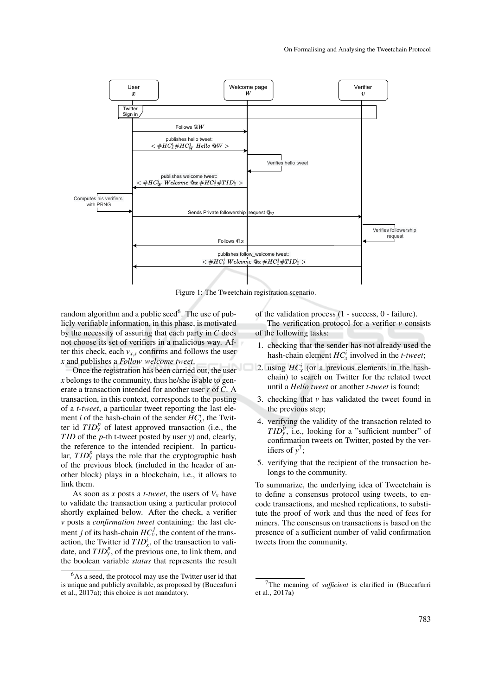

Figure 1: The Tweetchain registration scenario.

random algorithm and a public seed<sup>6</sup>. The use of publicly verifiable information, in this phase, is motivated by the necessity of assuring that each party in *C* does not choose its set of verifiers in a malicious way. After this check, each  $v_{x,s}$  confirms and follows the user *x* and publishes a *Follow welcome tweet*.

Once the registration has been carried out, the user *x* belongs to the community, thus he/she is able to generate a transaction intended for another user *r* of *C*. A transaction, in this context, corresponds to the posting of a *t-tweet*, a particular tweet reporting the last element *i* of the hash-chain of the sender  $\overline{HC}^i_x$ , the Twitter id  $TID_y^p$  of latest approved transaction (i.e., the *T ID* of the *p*-th t-tweet posted by user *y*) and, clearly, the reference to the intended recipient. In particular,  $TID_y^p$  plays the role that the cryptographic hash of the previous block (included in the header of another block) plays in a blockchain, i.e., it allows to link them.

As soon as *x* posts a *t*-tweet, the users of  $V_x$  have to validate the transaction using a particular protocol shortly explained below. After the check, a verifier *v* posts a *confirmation tweet* containing: the last element *j* of its hash-chain  $HC_v^j$ , the content of the transaction, the Twitter id  $TID_x^i$ , of the transaction to validate, and  $TID_y^p$ , of the previous one, to link them, and the boolean variable *status* that represents the result of the validation process (1 - success, 0 - failure). The verification protocol for a verifier *v* consists

of the following tasks:

- 1. checking that the sender has not already used the hash-chain element  $HC_x^i$  involved in the *t-tweet*;
- 2. using  $HC_x^i$  (or a previous elements in the hashchain) to search on Twitter for the related tweet until a *Hello tweet* or another *t-tweet* is found;
- 3. checking that *v* has validated the tweet found in the previous step;
- 4. verifying the validity of the transaction related to  $TID_{y}^{\rho}$ , i.e., looking for a "sufficient number" of confirmation tweets on Twitter, posted by the verifiers of  $y^7$ ;
- 5. verifying that the recipient of the transaction belongs to the community.

To summarize, the underlying idea of Tweetchain is to define a consensus protocol using tweets, to encode transactions, and meshed replications, to substitute the proof of work and thus the need of fees for miners. The consensus on transactions is based on the presence of a sufficient number of valid confirmation tweets from the community.

 $<sup>6</sup>$ As a seed, the protocol may use the Twitter user id that</sup> is unique and publicly available, as proposed by (Buccafurri et al., 2017a); this choice is not mandatory.

<sup>7</sup>The meaning of *sufficient* is clarified in (Buccafurri et al., 2017a)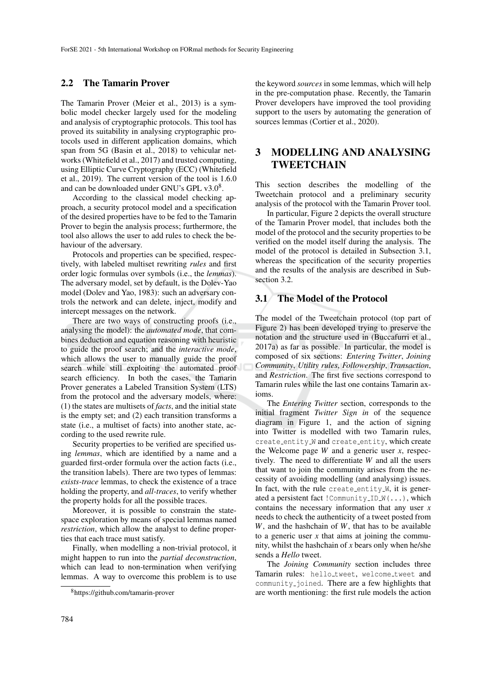#### 2.2 The Tamarin Prover

The Tamarin Prover (Meier et al., 2013) is a symbolic model checker largely used for the modeling and analysis of cryptographic protocols. This tool has proved its suitability in analysing cryptographic protocols used in different application domains, which span from 5G (Basin et al., 2018) to vehicular networks (Whitefield et al., 2017) and trusted computing, using Elliptic Curve Cryptography (ECC) (Whitefield et al., 2019). The current version of the tool is 1.6.0 and can be downloaded under GNU's GPL v3.08.

According to the classical model checking approach, a security protocol model and a specification of the desired properties have to be fed to the Tamarin Prover to begin the analysis process; furthermore, the tool also allows the user to add rules to check the behaviour of the adversary.

Protocols and properties can be specified, respectively, with labeled multiset rewriting *rules* and first order logic formulas over symbols (i.e., the *lemmas*). The adversary model, set by default, is the Dolev-Yao model (Dolev and Yao, 1983): such an adversary controls the network and can delete, inject, modify and intercept messages on the network.

There are two ways of constructing proofs (i.e., analysing the model): the *automated mode*, that combines deduction and equation reasoning with heuristic to guide the proof search; and the *interactive mode*, which allows the user to manually guide the proof search while still exploiting the automated proof search efficiency. In both the cases, the Tamarin Prover generates a Labeled Transition System (LTS) from the protocol and the adversary models, where: (1) the states are multisets of *facts*, and the initial state is the empty set; and (2) each transition transforms a state (i.e., a multiset of facts) into another state, according to the used rewrite rule.

Security properties to be verified are specified using *lemmas*, which are identified by a name and a guarded first-order formula over the action facts (i.e., the transition labels). There are two types of lemmas: *exists-trace* lemmas, to check the existence of a trace holding the property, and *all-traces*, to verify whether the property holds for all the possible traces.

Moreover, it is possible to constrain the statespace exploration by means of special lemmas named *restriction*, which allow the analyst to define properties that each trace must satisfy.

Finally, when modelling a non-trivial protocol, it might happen to run into the *partial deconstruction*, which can lead to non-termination when verifying lemmas. A way to overcome this problem is to use the keyword *sources* in some lemmas, which will help in the pre-computation phase. Recently, the Tamarin Prover developers have improved the tool providing support to the users by automating the generation of sources lemmas (Cortier et al., 2020).

# 3 MODELLING AND ANALYSING TWEETCHAIN

This section describes the modelling of the Tweetchain protocol and a preliminary security analysis of the protocol with the Tamarin Prover tool.

In particular, Figure 2 depicts the overall structure of the Tamarin Prover model, that includes both the model of the protocol and the security properties to be verified on the model itself during the analysis. The model of the protocol is detailed in Subsection 3.1, whereas the specification of the security properties and the results of the analysis are described in Subsection 3.2.

### 3.1 The Model of the Protocol

The model of the Tweetchain protocol (top part of Figure 2) has been developed trying to preserve the notation and the structure used in (Buccafurri et al., 2017a) as far as possible. In particular, the model is composed of six sections: *Entering Twitter*, *Joining Community*, *Utility rules*, *Followership*, *Transaction*, and *Restriction*. The first five sections correspond to Tamarin rules while the last one contains Tamarin axioms.

The *Entering Twitter* section, corresponds to the initial fragment *Twitter Sign in* of the sequence diagram in Figure 1, and the action of signing into Twitter is modelled with two Tamarin rules, create entity W and create entity, which create the Welcome page *W* and a generic user *x*, respectively. The need to differentiate *W* and all the users that want to join the community arises from the necessity of avoiding modelling (and analysing) issues. In fact, with the rule create entity  $\mathbb{N}$ , it is generated a persistent fact ! Community  $ID_W(\ldots)$ , which contains the necessary information that any user *x* needs to check the authenticity of a tweet posted from *W*, and the hashchain of *W*, that has to be available to a generic user  $x$  that aims at joining the community, whilst the hashchain of *x* bears only when he/she sends a *Hello* tweet.

The *Joining Community* section includes three Tamarin rules: hello\_tweet, welcome\_tweet and community joined. There are a few highlights that are worth mentioning: the first rule models the action

<sup>8</sup>https://github.com/tamarin-prover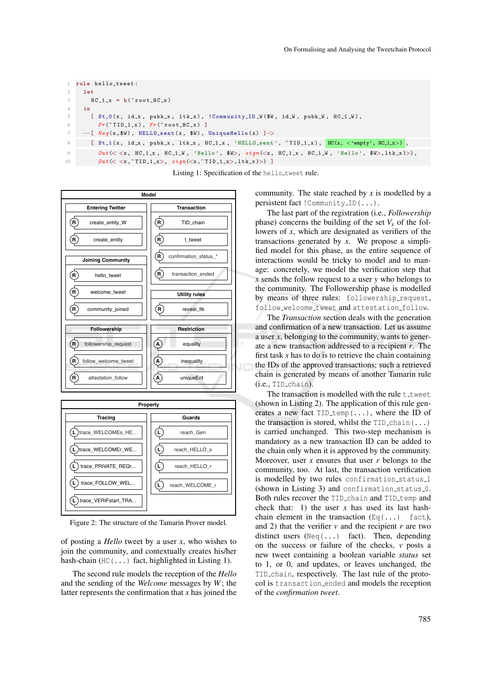```
1 rule hello_tweet:
2 let
\overline{3} HC 1 \overline{x} = h("root HC \overline{x})
4 in
5 [ St.0(x, id.x, pubk_x, ltk_x), !Community_ID_W($W, id_W, pubk_W, HC_1_W),
6 Fr("TID_1_x), Fr("root_HC_x)]7 --[ Neq(x, $W), HELLO_sent(x, $W), UniqueHello(x) ]->
8 [ St<sub>-1</sub>(x, id_x, pubk_x, ltk_x, HC<sub>-1-x</sub>, 'HELLO_sent', \text{TID-1.x}), \text{HC}(x, \lt; \text{empty}, H\text{C-1.x}),
9 Out(<\langle x, HCA_1,x, HCA_2, HCA_3, x \rangle) , \exists W > 0, \exists W > 0, \exists W > 0, \exists W > 0, \exists W > 0, \exists W > 0, \exists W > 0, \exists W > 0, \exists W > 0, \exists W > 0, \exists W > 0, \exists W > 0, \exists W > 0, \exists W > 0, \exists W > 0, \exists W > 0, \exists W > 0, \exists W > 0, \exists W > 010 Out(<\langle x, \text{`TID-1-x}\rangle, sign(<x, \text{`TID-1-x}\rangle, 1tk-x)\rangle) ]
```




Figure 2: The structure of the Tamarin Prover model.

**L** trace\_VERIFstart\_TRA...

of posting a *Hello* tweet by a user *x*, who wishes to join the community, and contextually creates his/her hash-chain  $(HC(\ldots))$  fact, highlighted in Listing 1).

The second rule models the reception of the *Hello* and the sending of the *Welcome* messages by *W*; the latter represents the confirmation that *x* has joined the community. The state reached by *x* is modelled by a persistent fact !Community ID(...).

The last part of the registration (i.e., *Followership* phase) concerns the building of the set  $V_x$  of the followers of *x*, which are designated as verifiers of the transactions generated by *x*. We propose a simplified model for this phase, as the entire sequence of interactions would be tricky to model and to manage: concretely, we model the verification step that *x* sends the follow request to a user *y* who belongs to the community. The Followership phase is modelled by means of three rules: followership\_request, follow welcome tweet and attestation follow.

The *Transaction* section deals with the generation and confirmation of a new transaction. Let us assume a user *x*, belonging to the community, wants to generate a new transaction addressed to a recipient *r*. The first task *x* has to do is to retrieve the chain containing the IDs of the approved transactions; such a retrieved chain is generated by means of another Tamarin rule (i.e., TID chain).

The transaction is modelled with the rule  $t$ , tweet (shown in Listing 2). The application of this rule generates a new fact  $TID$  temp(...), where the ID of the transaction is stored, whilst the  $TID$ -chain(...) is carried unchanged. This two-step mechanism is mandatory as a new transaction ID can be added to the chain only when it is approved by the community. Moreover, user *x* ensures that user *r* belongs to the community, too. At last, the transaction verification is modelled by two rules confirmation\_status\_1 (shown in Listing 3) and confirmation\_status\_0. Both rules recover the TID<sub>-</sub>chain and TID<sub>-temp</sub> and check that: 1) the user *x* has used its last hashchain element in the transaction  $(Eq(\ldots))$  fact), and 2) that the verifier  $v$  and the recipient  $r$  are two distinct users (Neq(...) fact). Then, depending on the success or failure of the checks, *v* posts a new tweet containing a boolean variable *status* set to 1, or 0, and updates, or leaves unchanged, the TID chain, respectively. The last rule of the protocol is transaction ended and models the reception of the *confirmation tweet*.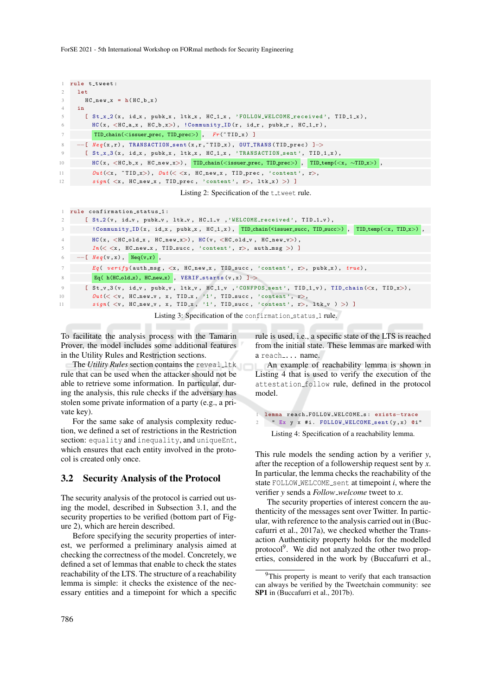ForSE 2021 - 5th International Workshop on FORmal methods for Security Engineering

```
1 rule t_tweet:
2 let
\overline{3} HC_new_x = h(HC_b_x)
4 in
5 [ St_x_2(x, id_x, pubk_x, ltk_x, HC_1_x, 'FOLLOW_WELCOME_received', TID_1_x),
6 HC(x, \langleHC<sub>-a-x</sub>, HC<sub>-</sub>b<sub>-</sub>x>), !Community<sub>-</sub>ID(r, id<sub>-</sub>r, pubk<sub>-</sub>r, HC<sub>-1-r</sub>),
7 TID_chain(<issuer_prec, TID_prec>), Fr("TID_x)]
8 - F Neq(x,r), TRANSACTION_sent(x,r,~TID_x), OUT_TRANS(TID_prec) ]->
9 [ St_x x . 3(x, id_x x, pubk_x x, 1tk_x x, HC_1 x, 'TRANSACTION sent', TID_1 x),10 HC(x, <HC_b_x, HC_new_x>), TID_chain(<issuer_prec, TID_prec>), TID_temp(<x, ∼TID_x>),
11 \theta u t \ll x, \text{TID-x}), \theta u t \ll x, HC_new_x, TID_prec, 'content', r>,
12 sign(<b>x</b>, HC_new <b>x</b>, TID-prec, 'content', r> 1tk <b>x</b>) > 1
```
Listing 2: Specification of the  $t$ -tweet rule.

```
1 rule confirmation_status_1:
2 [ St.2 (v, id.v, pubk.v, ltk.v, HC.1.v ,'WELCOME_received', TID.1.v),
3 ! Community_ID(x, id_x, pubk_x, HC_1_x), TID_chain(<issuer_succ, TID_succ>), TID_temp(<x, TID_x>)
\texttt{HC}(x, \langle \texttt{HC\_old\_}x, \texttt{HC\_new\_}x \rangle), \texttt{HC}(v, \langle \texttt{HC\_old\_}v, \texttt{HC\_new\_}v \rangle),5 In(\lt \ltx, HC_new_x, TID_succ, 'content', r>, auth_msg >) ]
6 −−[ Neq (v , x) , Neq(v,r) ,
7 Eq( verify( auth_msg, <x, HC_new_x, TID_succ, 'content', r>, pubk_x), true,
8 Eq( h(HC_old_x), HC_new_x), VERIF_status(v, x) ] \rightarrow9 [ St_v_3(v, id_v, pubk_v, ltk_v, HC_1_v, 'CONFPOS_sent', TID_1_v), TID_chain(<x, TID_x>).
10 Out \left( \langle v, H \text{C_new}_v, x, T \text{ID}_x, '1', T \text{ID\_succ}, 'content', r \rangle,11 sign ( \langle v, H\mathsf{C}_\mathtt{new-v}, x, T\mathsf{ID}_x, '1', T\mathsf{ID}_\mathtt{succ}, 'content', r>1\mathtt{tk}_\mathtt{v}) >) ]
```
Listing 3: Specification of the confirmation\_status\_1 rule.

To facilitate the analysis process with the Tamarin Prover, the model includes some additional features in the Utility Rules and Restriction sections.

The *Utility Rules* section contains the reveal ltk rule that can be used when the attacker should not be able to retrieve some information. In particular, during the analysis, this rule checks if the adversary has stolen some private information of a party (e.g., a private key).

For the same sake of analysis complexity reduction, we defined a set of restrictions in the Restriction section: equality and inequality, and uniqueEnt, which ensures that each entity involved in the protocol is created only once.

#### 3.2 Security Analysis of the Protocol

The security analysis of the protocol is carried out using the model, described in Subsection 3.1, and the security properties to be verified (bottom part of Figure 2), which are herein described.

Before specifying the security properties of interest, we performed a preliminary analysis aimed at checking the correctness of the model. Concretely, we defined a set of lemmas that enable to check the states reachability of the LTS. The structure of a reachability lemma is simple: it checks the existence of the necessary entities and a timepoint for which a specific rule is used, i.e., a specific state of the LTS is reached from the initial state. These lemmas are marked with a reach ... name.

An example of reachability lemma is shown in Listing 4 that is used to verify the execution of the attestation follow rule, defined in the protocol model.

```
1 emma reach FOLLOW WELCOME s: exists-trace
 " Ex y x #i. FOLLOW_WELCOME_sent (y, x) @i"
  Listing 4: Specification of a reachability lemma.
```
This rule models the sending action by a verifier *y*, after the reception of a followership request sent by *x*. In particular, the lemma checks the reachability of the state FOLLOW WELCOME sent at timepoint *i*, where the verifier *y* sends a *Follow welcome* tweet to *x*.

The security properties of interest concern the authenticity of the messages sent over Twitter. In particular, with reference to the analysis carried out in (Buccafurri et al., 2017a), we checked whether the Transaction Authenticity property holds for the modelled protocol<sup>9</sup>. We did not analyzed the other two properties, considered in the work by (Buccafurri et al.,

<sup>&</sup>lt;sup>9</sup>This property is meant to verify that each transaction can always be verified by the Tweetchain community: see SP1 in (Buccafurri et al., 2017b).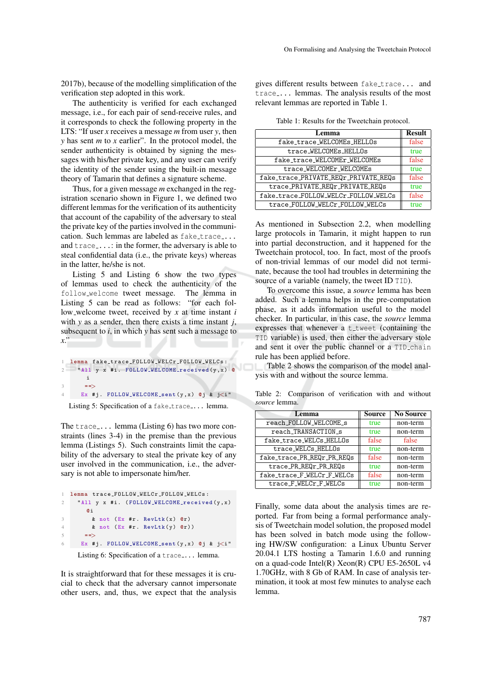2017b), because of the modelling simplification of the verification step adopted in this work.

The authenticity is verified for each exchanged message, i.e., for each pair of send-receive rules, and it corresponds to check the following property in the LTS: "If user *x* receives a message *m* from user *y*, then *y* has sent *m* to *x* earlier". In the protocol model, the sender authenticity is obtained by signing the messages with his/her private key, and any user can verify the identity of the sender using the built-in message theory of Tamarin that defines a signature scheme.

Thus, for a given message *m* exchanged in the registration scenario shown in Figure 1, we defined two different lemmas for the verification of its authenticity that account of the capability of the adversary to steal the private key of the parties involved in the communication. Such lemmas are labeled as  $fake\_trace...$ . and trace ...: in the former, the adversary is able to steal confidential data (i.e., the private keys) whereas in the latter, he/she is not.

Listing 5 and Listing 6 show the two types of lemmas used to check the authenticity of the follow welcome tweet message. The lemma in Listing 5 can be read as follows: "for each follow welcome tweet, received by *x* at time instant *i* with *y* as a sender, then there exists a time instant *j*, subsequent to *i*, in which *y* has sent such a message to *x*."

```
1 lemma fake_trace_FOLLOW_WELCr_FOLLOW_WELCs:
2 "All y x #i. FOLLOW_WELCOME_received (y, x) @
      i
      \Rightarrow4 Ex #j. FOLLOW_WELCOME_sent (y, x) @j & j<i"
```
Listing 5: Specification of a fake\_trace\_... lemma.

The  $trace_$ ... lemma (Listing 6) has two more constraints (lines 3-4) in the premise than the previous lemma (Listings 5). Such constraints limit the capability of the adversary to steal the private key of any user involved in the communication, i.e., the adversary is not able to impersonate him/her.

```
1 lemma trace_FOLLOW_WELCr_FOLLOW_WELCs:
2 "All y x #i. (FOLLOW_WELCOME_received (y, x)@i
3 & not (Ex #r. RevLtk(x) @r)
4 & not (Ex #r. RevLtk(y) @r))
5 \qquad \qquad \equiv \equiv \qquad6 Ex #j. FOLLOW_WELCOME_sent (y, x) @j & j<i"
```
Listing 6: Specification of a trace.... lemma.

It is straightforward that for these messages it is crucial to check that the adversary cannot impersonate other users, and, thus, we expect that the analysis

gives different results between fake trace... and trace ... lemmas. The analysis results of the most relevant lemmas are reported in Table 1.

| Lemma                                | <b>Result</b> |
|--------------------------------------|---------------|
| fake_trace_WELCOMEs_HELLOs           | false         |
| trace_WELCOMEs_HELLOs                | true          |
| fake_trace_WELCOMEr_WELCOMEs         | false         |
| trace_WELCOMEr_WELCOMEs              | true          |
| fake_trace_PRIVATE_REQr_PRIVATE_REQs | false         |
| trace_PRIVATE_REQr_PRIVATE_REQs      | true          |
| fake_trace_FOLLOW_WELCr_FOLLOW_WELCs | false         |
| trace_FOLLOW_WELCr_FOLLOW_WELCs      | true          |

Table 1: Results for the Tweetchain protocol.

As mentioned in Subsection 2.2, when modelling large protocols in Tamarin, it might happen to run into partial deconstruction, and it happened for the Tweetchain protocol, too. In fact, most of the proofs of non-trivial lemmas of our model did not terminate, because the tool had troubles in determining the source of a variable (namely, the tweet ID TID).

To overcome this issue, a *source* lemma has been added. Such a lemma helps in the pre-computation phase, as it adds information useful to the model checker. In particular, in this case, the *source* lemma expresses that whenever a  $t$ -tweet (containing the TID variable) is used, then either the adversary stole and sent it over the public channel or a TID chain rule has been applied before.

Table 2 shows the comparison of the model analysis with and without the source lemma.

Table 2: Comparison of verification with and without *source* lemma.

| Lemma                      | <b>Source</b> | <b>No Source</b> |
|----------------------------|---------------|------------------|
| reach_FOLLOW_WELCOME_s     | true          | non-term         |
| reach_TRANSACTION_s        | true          | non-term         |
| fake_trace_WELCs_HELLOs    | false         | false            |
| trace_WELCs_HELLOs         | true          | non-term         |
| fake_trace_PR_REQr_PR_REQs | false         | non-term         |
| trace_PR_REQr_PR_REQs      | true          | non-term         |
| fake_trace_F_WELCr_F_WELCs | false         | non-term         |
| trace_F_WELCr_F_WELCs      | true          | non-term         |

Finally, some data about the analysis times are reported. Far from being a formal performance analysis of Tweetchain model solution, the proposed model has been solved in batch mode using the following HW/SW configuration: a Linux Ubuntu Server 20.04.1 LTS hosting a Tamarin 1.6.0 and running on a quad-code Intel(R) Xeon(R) CPU E5-2650L v4 1.70GHz, with 8 Gb of RAM. In case of analysis termination, it took at most few minutes to analyse each lemma.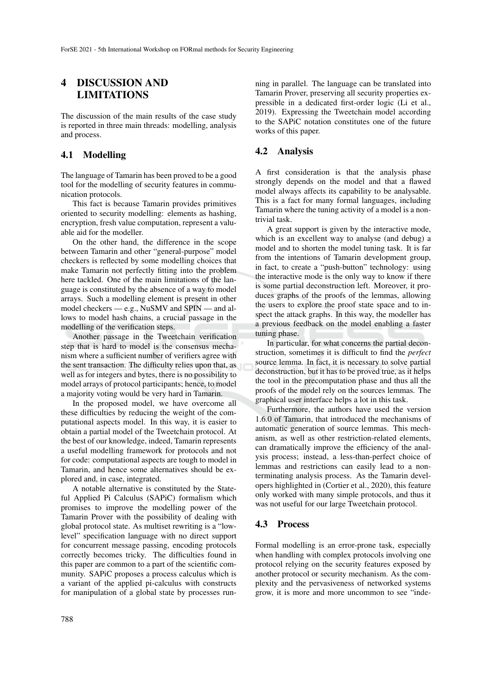## 4 DISCUSSION AND LIMITATIONS

The discussion of the main results of the case study is reported in three main threads: modelling, analysis and process.

### 4.1 Modelling

The language of Tamarin has been proved to be a good tool for the modelling of security features in communication protocols.

This fact is because Tamarin provides primitives oriented to security modelling: elements as hashing, encryption, fresh value computation, represent a valuable aid for the modeller.

On the other hand, the difference in the scope between Tamarin and other "general-purpose" model checkers is reflected by some modelling choices that make Tamarin not perfectly fitting into the problem here tackled. One of the main limitations of the language is constituted by the absence of a way to model arrays. Such a modelling element is present in other model checkers — e.g., NuSMV and SPIN — and allows to model hash chains, a crucial passage in the modelling of the verification steps.

Another passage in the Tweetchain verification step that is hard to model is the consensus mechanism where a sufficient number of verifiers agree with the sent transaction. The difficulty relies upon that, as well as for integers and bytes, there is no possibility to model arrays of protocol participants; hence, to model a majority voting would be very hard in Tamarin.

In the proposed model, we have overcome all these difficulties by reducing the weight of the computational aspects model. In this way, it is easier to obtain a partial model of the Tweetchain protocol. At the best of our knowledge, indeed, Tamarin represents a useful modelling framework for protocols and not for code: computational aspects are tough to model in Tamarin, and hence some alternatives should be explored and, in case, integrated.

A notable alternative is constituted by the Stateful Applied Pi Calculus (SAPiC) formalism which promises to improve the modelling power of the Tamarin Prover with the possibility of dealing with global protocol state. As multiset rewriting is a "lowlevel" specification language with no direct support for concurrent message passing, encoding protocols correctly becomes tricky. The difficulties found in this paper are common to a part of the scientific community. SAPiC proposes a process calculus which is a variant of the applied pi-calculus with constructs for manipulation of a global state by processes run-

ning in parallel. The language can be translated into Tamarin Prover, preserving all security properties expressible in a dedicated first-order logic (Li et al., 2019). Expressing the Tweetchain model according to the SAPiC notation constitutes one of the future works of this paper.

### 4.2 Analysis

A first consideration is that the analysis phase strongly depends on the model and that a flawed model always affects its capability to be analysable. This is a fact for many formal languages, including Tamarin where the tuning activity of a model is a nontrivial task.

A great support is given by the interactive mode, which is an excellent way to analyse (and debug) a model and to shorten the model tuning task. It is far from the intentions of Tamarin development group, in fact, to create a "push-button" technology: using the interactive mode is the only way to know if there is some partial deconstruction left. Moreover, it produces graphs of the proofs of the lemmas, allowing the users to explore the proof state space and to inspect the attack graphs. In this way, the modeller has a previous feedback on the model enabling a faster tuning phase.

In particular, for what concerns the partial deconstruction, sometimes it is difficult to find the *perfect* source lemma. In fact, it is necessary to solve partial deconstruction, but it has to be proved true, as it helps the tool in the precomputation phase and thus all the proofs of the model rely on the sources lemmas. The graphical user interface helps a lot in this task.

Furthermore, the authors have used the version 1.6.0 of Tamarin, that introduced the mechanisms of automatic generation of source lemmas. This mechanism, as well as other restriction-related elements, can dramatically improve the efficiency of the analysis process; instead, a less-than-perfect choice of lemmas and restrictions can easily lead to a nonterminating analysis process. As the Tamarin developers highlighted in (Cortier et al., 2020), this feature only worked with many simple protocols, and thus it was not useful for our large Tweetchain protocol.

#### 4.3 Process

Formal modelling is an error-prone task, especially when handling with complex protocols involving one protocol relying on the security features exposed by another protocol or security mechanism. As the complexity and the pervasiveness of networked systems grow, it is more and more uncommon to see "inde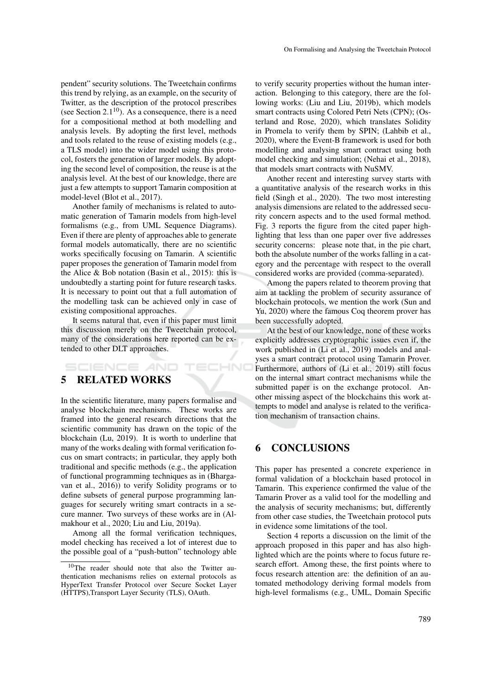pendent" security solutions. The Tweetchain confirms this trend by relying, as an example, on the security of Twitter, as the description of the protocol prescribes (see Section 2.1<sup>10</sup>). As a consequence, there is a need for a compositional method at both modelling and analysis levels. By adopting the first level, methods and tools related to the reuse of existing models (e.g., a TLS model) into the wider model using this protocol, fosters the generation of larger models. By adopting the second level of composition, the reuse is at the analysis level. At the best of our knowledge, there are just a few attempts to support Tamarin composition at model-level (Blot et al., 2017).

Another family of mechanisms is related to automatic generation of Tamarin models from high-level formalisms (e.g., from UML Sequence Diagrams). Even if there are plenty of approaches able to generate formal models automatically, there are no scientific works specifically focusing on Tamarin. A scientific paper proposes the generation of Tamarin model from the Alice & Bob notation (Basin et al., 2015): this is undoubtedly a starting point for future research tasks. It is necessary to point out that a full automation of the modelling task can be achieved only in case of existing compositional approaches.

It seems natural that, even if this paper must limit this discussion merely on the Tweetchain protocol, many of the considerations here reported can be extended to other DLT approaches.

TECHNO

# 5 RELATED WORKS

SCIENCE *A*ND

In the scientific literature, many papers formalise and analyse blockchain mechanisms. These works are framed into the general research directions that the scientific community has drawn on the topic of the blockchain (Lu, 2019). It is worth to underline that many of the works dealing with formal verification focus on smart contracts; in particular, they apply both traditional and specific methods (e.g., the application of functional programming techniques as in (Bhargavan et al., 2016)) to verify Solidity programs or to define subsets of general purpose programming languages for securely writing smart contracts in a secure manner. Two surveys of these works are in (Almakhour et al., 2020; Liu and Liu, 2019a).

Among all the formal verification techniques, model checking has received a lot of interest due to the possible goal of a "push-button" technology able to verify security properties without the human interaction. Belonging to this category, there are the following works: (Liu and Liu, 2019b), which models smart contracts using Colored Petri Nets (CPN); (Osterland and Rose, 2020), which translates Solidity in Promela to verify them by SPIN; (Lahbib et al., 2020), where the Event-B framework is used for both modelling and analysing smart contract using both model checking and simulation; (Nehai et al., 2018), that models smart contracts with NuSMV.

Another recent and interesting survey starts with a quantitative analysis of the research works in this field (Singh et al., 2020). The two most interesting analysis dimensions are related to the addressed security concern aspects and to the used formal method. Fig. 3 reports the figure from the cited paper highlighting that less than one paper over five addresses security concerns: please note that, in the pie chart, both the absolute number of the works falling in a category and the percentage with respect to the overall considered works are provided (comma-separated).

Among the papers related to theorem proving that aim at tackling the problem of security assurance of blockchain protocols, we mention the work (Sun and Yu, 2020) where the famous Coq theorem prover has been successfully adopted.

At the best of our knowledge, none of these works explicitly addresses cryptographic issues even if, the work published in (Li et al., 2019) models and analyses a smart contract protocol using Tamarin Prover. Furthermore, authors of (Li et al., 2019) still focus on the internal smart contract mechanisms while the submitted paper is on the exchange protocol. Another missing aspect of the blockchains this work attempts to model and analyse is related to the verification mechanism of transaction chains.

## 6 CONCLUSIONS

This paper has presented a concrete experience in formal validation of a blockchain based protocol in Tamarin. This experience confirmed the value of the Tamarin Prover as a valid tool for the modelling and the analysis of security mechanisms; but, differently from other case studies, the Tweetchain protocol puts in evidence some limitations of the tool.

Section 4 reports a discussion on the limit of the approach proposed in this paper and has also highlighted which are the points where to focus future research effort. Among these, the first points where to focus research attention are: the definition of an automated methodology deriving formal models from high-level formalisms (e.g., UML, Domain Specific

<sup>&</sup>lt;sup>10</sup>The reader should note that also the Twitter authentication mechanisms relies on external protocols as HyperText Transfer Protocol over Secure Socket Layer (HTTPS),Transport Layer Security (TLS), OAuth.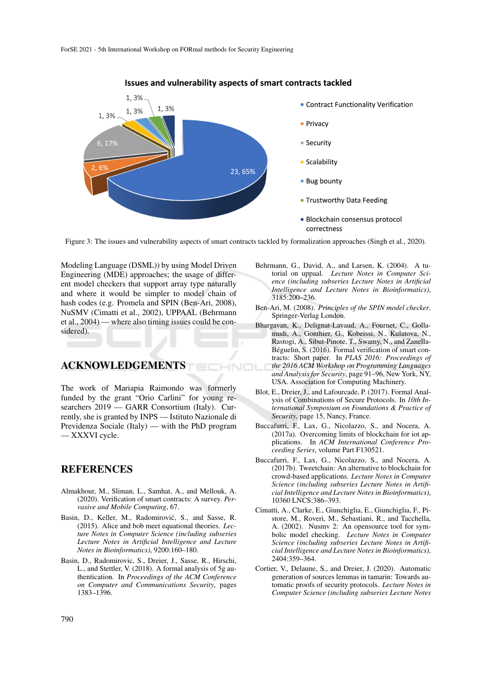

#### Issues and vulnerability aspects of smart contracts tackled

Figure 3: The issues and vulnerability aspects of smart contracts tackled by formalization approaches (Singh et al., 2020).

Modeling Language (DSML)) by using Model Driven Engineering (MDE) approaches; the usage of different model checkers that support array type naturally and where it would be simpler to model chain of hash codes (e.g. Promela and SPIN (Ben-Ari, 2008), NuSMV (Cimatti et al., 2002), UPPAAL (Behrmann et al., 2004) — where also timing issues could be considered).

### ACKNOWLEDGEMENTS

The work of Mariapia Raimondo was formerly funded by the grant "Orio Carlini" for young researchers 2019 — GARR Consortium (Italy). Currently, she is granted by INPS — Istituto Nazionale di Previdenza Sociale (Italy) — with the PhD program — XXXVI cycle.

## **REFERENCES**

- Almakhour, M., Sliman, L., Samhat, A., and Mellouk, A. (2020). Verification of smart contracts: A survey. *Pervasive and Mobile Computing*, 67.
- Basin, D., Keller, M., Radomirović, S., and Sasse, R. (2015). Alice and bob meet equational theories. *Lecture Notes in Computer Science (including subseries Lecture Notes in Artificial Intelligence and Lecture Notes in Bioinformatics)*, 9200:160–180.
- Basin, D., Radomirovic, S., Dreier, J., Sasse, R., Hirschi, L., and Stettler, V. (2018). A formal analysis of 5g authentication. In *Proceedings of the ACM Conference on Computer and Communications Security*, pages 1383–1396.
- Behrmann, G., David, A., and Larsen, K. (2004). A tutorial on uppaal. *Lecture Notes in Computer Science (including subseries Lecture Notes in Artificial Intelligence and Lecture Notes in Bioinformatics)*, 3185:200–236.
- Ben-Ari, M. (2008). *Principles of the SPIN model checker*. Springer-Verlag London.
- Bhargavan, K., Delignat-Lavaud, A., Fournet, C., Gollamudi, A., Gonthier, G., Kobeissi, N., Kulatova, N., Rastogi, A., Sibut-Pinote, T., Swamy, N., and Zanella-Béguelin, S. (2016). Formal verification of smart contracts: Short paper. In *PLAS 2016: Proceedings of the 2016 ACM Workshop on Programming Languages and Analysis for Security*, page 91–96, New York, NY, USA. Association for Computing Machinery.
- Blot, E., Dreier, J., and Lafourcade, P. (2017). Formal Analysis of Combinations of Secure Protocols. In *10th International Symposium on Foundations & Practice of Security*, page 15, Nancy, France.
- Buccafurri, F., Lax, G., Nicolazzo, S., and Nocera, A. (2017a). Overcoming limits of blockchain for iot applications. In *ACM International Conference Proceeding Series*, volume Part F130521.
- Buccafurri, F., Lax, G., Nicolazzo, S., and Nocera, A. (2017b). Tweetchain: An alternative to blockchain for crowd-based applications. *Lecture Notes in Computer Science (including subseries Lecture Notes in Artificial Intelligence and Lecture Notes in Bioinformatics)*, 10360 LNCS:386–393.
- Cimatti, A., Clarke, E., Giunchiglia, E., Giunchiglia, F., Pistore, M., Roveri, M., Sebastiani, R., and Tacchella, A. (2002). Nusmv 2: An opensource tool for symbolic model checking. *Lecture Notes in Computer Science (including subseries Lecture Notes in Artificial Intelligence and Lecture Notes in Bioinformatics)*, 2404:359–364.
- Cortier, V., Delaune, S., and Dreier, J. (2020). Automatic generation of sources lemmas in tamarin: Towards automatic proofs of security protocols. *Lecture Notes in Computer Science (including subseries Lecture Notes*